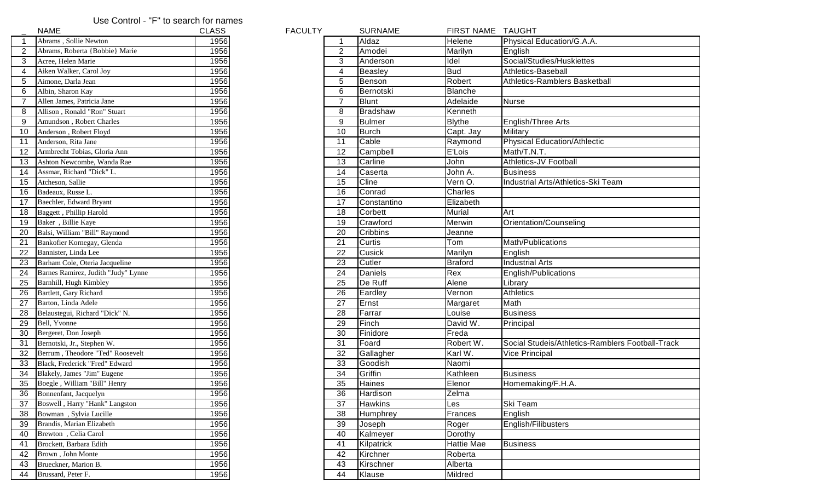## Use Control - "F" to search for names

|                | NAME                                | CLASS | <b>FACULTY</b> |                | <b>SURNAME</b>  | <b>FIRST NAME</b> | TAUGF          |
|----------------|-------------------------------------|-------|----------------|----------------|-----------------|-------------------|----------------|
| 1              | Abrams, Sollie Newton               | 1956  |                |                | Aldaz           | Helene            | Physica        |
| $\overline{c}$ | Abrams, Roberta {Bobbie} Marie      | 1956  |                | $\overline{2}$ | Amodei          | Marilyn           | English        |
| 3              | Acree, Helen Marie                  | 1956  |                | 3              | Anderson        | Idel              | Social/        |
| 4              | Aiken Walker, Carol Joy             | 1956  |                | 4              | Beasley         | <b>Bud</b>        | Athletic       |
| 5              | Aimone, Darla Jean                  | 1956  |                | 5              | Benson          | Robert            | Athletic       |
| 6              | Albin, Sharon Kay                   | 1956  |                | 6              | Bernotski       | <b>Blanche</b>    |                |
| 7              | Allen James, Patricia Jane          | 1956  |                | $\overline{7}$ | <b>Blunt</b>    | Adelaide          | Nurse          |
| 8              | Allison, Ronald "Ron" Stuart        | 1956  |                | 8              | <b>Bradshaw</b> | Kenneth           |                |
| 9              | Amundson, Robert Charles            | 1956  |                | 9              | <b>Bulmer</b>   | <b>Blythe</b>     | English        |
| 10             | Anderson, Robert Floyd              | 1956  |                | 10             | <b>Burch</b>    | Capt. Jay         | Military       |
| 11             | Anderson, Rita Jane                 | 1956  |                | 11             | Cable           | Raymond           | Physica        |
| 12             | Armbrecht Tobias, Gloria Ann        | 1956  |                | 12             | Campbell        | E'Lois            | Math/T         |
| 13             | Ashton Newcombe, Wanda Rae          | 1956  |                | 13             | Carline         | John              | Athletic       |
| 14             | Assmar, Richard "Dick" L.           | 1956  |                | 14             | Caserta         | John A.           | <b>Busines</b> |
| 15             | Atcheson, Sallie                    | 1956  |                | 15             | Cline           | Vern O.           | Industri       |
| 16             | Badeaux, Russe L.                   | 1956  |                | 16             | Conrad          | Charles           |                |
| 17             | Baechler, Edward Bryant             | 1956  |                | 17             | Constantino     | Elizabeth         |                |
| 18             | Baggett, Phillip Harold             | 1956  |                | 18             | Corbett         | Murial            | Art            |
| 19             | Baker, Billie Kaye                  | 1956  |                | 19             | Crawford        | Merwin            | Orienta        |
| 20             | Balsi, William "Bill" Raymond       | 1956  |                | 20             | Cribbins        | Jeanne            |                |
| 21             | Bankofier Kornegay, Glenda          | 1956  |                | 21             | Curtis          | Tom               | Math/P         |
| 22             | Bannister, Linda Lee                | 1956  |                | 22             | Cusick          | Marilyn           | English        |
| 23             | Barham Cole, Oteria Jacqueline      | 1956  |                | 23             | Cutler          | <b>Braford</b>    | Industri       |
| 24             | Barnes Ramirez, Judith "Judy" Lynne | 1956  |                | 24             | Daniels         | Rex               | English        |
| 25             | Barnhill, Hugh Kimbley              | 1956  |                | 25             | De Ruff         | Alene             | Library        |
| 26             | Bartlett, Gary Richard              | 1956  |                | 26             | Eardley         | Vernon            | Athletic       |
| 27             | Barton, Linda Adele                 | 1956  |                | 27             | Ernst           | Margaret          | Math           |
| 28             | Belaustegui, Richard "Dick" N.      | 1956  |                | 28             | Farrar          | Louise            | <b>Busines</b> |
| 29             | Bell, Yvonne                        | 1956  |                | 29             | Finch           | David W.          | Principa       |
| 30             | Bergeret, Don Joseph                | 1956  |                | 30             | Finidore        | Freda             |                |
| 31             | Bernotski, Jr., Stephen W.          | 1956  |                | 31             | Foard           | Robert W.         | Social \       |
| 32             | Berrum, Theodore "Ted" Roosevelt    | 1956  |                | 32             | Gallagher       | Karl W.           | Vice Pr        |
| 33             | Black, Frederick "Fred" Edward      | 1956  |                | 33             | Goodish         | Naomi             |                |
| 34             | Blakely, James "Jim" Eugene         | 1956  |                | 34             | Griffin         | Kathleen          | <b>Busines</b> |
| 35             | Boegle, William "Bill" Henry        | 1956  |                | 35             | Haines          | Elenor            | Homen          |
| 36             | Bonnenfant, Jacquelyn               | 1956  |                | 36             | Hardison        | Zelma             |                |
| 37             | Boswell, Harry "Hank" Langston      | 1956  |                | 37             | Hawkins         | Les               | Ski Tea        |
| 38             | Bowman, Sylvia Lucille              | 1956  |                | 38             | Humphrey        | Frances           | English        |
| 39             | Brandis, Marian Elizabeth           | 1956  |                | 39             | Joseph          | Roger             | English        |
| 40             | Brewton, Celia Carol                | 1956  |                | 40             | Kalmeyer        | Dorothy           |                |
| 41             | Brockett, Barbara Edith             | 1956  |                | 41             | Kilpatrick      | <b>Hattie Mae</b> | <b>Busines</b> |
| 42             | Brown, John Monte                   | 1956  |                | 42             | Kirchner        | Roberta           |                |
| 43             | Brueckner, Marion B.                | 1956  |                | 43             | Kirschner       | Alberta           |                |
| 44             | Brussard, Peter F.                  | 1956  |                | 44             | Klause          | Mildred           |                |

|                 | <b>NAME</b>                         | <b>CLASS</b> | <b>FACULTY</b> |                 | <b>SURNAME</b>  | FIRST NAME TAUGHT |                                                  |
|-----------------|-------------------------------------|--------------|----------------|-----------------|-----------------|-------------------|--------------------------------------------------|
|                 | Abrams, Sollie Newton               | 1956         |                |                 | Aldaz           | Helene            | Physical Education/G.A.A.                        |
|                 | Abrams, Roberta {Bobbie} Marie      | 1956         |                | $\overline{2}$  | Amodei          | Marilyn           | English                                          |
| 3               | Acree, Helen Marie                  | 1956         |                | 3               | Anderson        | Idel              | Social/Studies/Huskiettes                        |
| $\overline{4}$  | Aiken Walker, Carol Joy             | 1956         |                | 4               | Beasley         | <b>Bud</b>        | Athletics-Baseball                               |
| $\sqrt{5}$      | Aimone, Darla Jean                  | 1956         |                | 5               | Benson          | Robert            | Athletics-Ramblers Basketball                    |
| $\,6$           | Albin, Sharon Kay                   | 1956         |                | 6               | Bernotski       | <b>Blanche</b>    |                                                  |
| $\overline{7}$  | Allen James, Patricia Jane          | 1956         |                | $\overline{7}$  | <b>Blunt</b>    | Adelaide          | Nurse                                            |
| 8               | Allison, Ronald "Ron" Stuart        | 1956         |                | 8               | <b>Bradshaw</b> | Kenneth           |                                                  |
| 9               | Amundson, Robert Charles            | 1956         |                | 9               | <b>Bulmer</b>   | <b>Blythe</b>     | English/Three Arts                               |
| 10              | Anderson, Robert Floyd              | 1956         |                | 10              | <b>Burch</b>    | Capt. Jay         | Military                                         |
| 11              | Anderson, Rita Jane                 | 1956         |                | 11              | Cable           | Raymond           | Physical Education/Athlectic                     |
| 12              | Armbrecht Tobias, Gloria Ann        | 1956         |                | 12              | Campbell        | E'Lois            | Math/T.N.T.                                      |
| 13              | Ashton Newcombe, Wanda Rae          | 1956         |                | 13              | Carline         | John              | Athletics-JV Football                            |
| 14              | Assmar, Richard "Dick" L.           | 1956         |                | 14              | Caserta         | John A.           | <b>Business</b>                                  |
| 15              | Atcheson, Sallie                    | 1956         |                | 15              | Cline           | Vern O.           | Industrial Arts/Athletics-Ski Team               |
| 16              | Badeaux, Russe L.                   | 1956         |                | 16              | Conrad          | <b>Charles</b>    |                                                  |
| 17              | Baechler, Edward Bryant             | 1956         |                | 17              | Constantino     | Elizabeth         |                                                  |
| 18              | Baggett, Phillip Harold             | 1956         |                | 18              | Corbett         | Murial            | <b>Art</b>                                       |
| 19              | Baker, Billie Kaye                  | 1956         |                | 19              | Crawford        | Merwin            | Orientation/Counseling                           |
| 20              | Balsi, William "Bill" Raymond       | 1956         |                | 20              | Cribbins        | Jeanne            |                                                  |
| 21              | Bankofier Kornegay, Glenda          | 1956         |                | 21              | Curtis          | Tom               | Math/Publications                                |
| 22              | Bannister, Linda Lee                | 1956         |                | 22              | Cusick          | Marilyn           | English                                          |
| $\overline{23}$ | Barham Cole, Oteria Jacqueline      | 1956         |                | 23              | Cutler          | <b>Braford</b>    | <b>Industrial Arts</b>                           |
| 24              | Barnes Ramirez, Judith "Judy" Lynne | 1956         |                | 24              | Daniels         | Rex               | English/Publications                             |
| 25              | Barnhill, Hugh Kimbley              | 1956         |                | 25              | De Ruff         | Alene             | Library                                          |
| 26              | Bartlett, Gary Richard              | 1956         |                | 26              | Eardley         | Vernon            | <b>Athletics</b>                                 |
| 27              | Barton, Linda Adele                 | 1956         |                | 27              | Ernst           | Margaret          | Math                                             |
| 28              | Belaustegui, Richard "Dick" N.      | 1956         |                | 28              | Farrar          | Louise            | Business                                         |
| 29              | Bell, Yvonne                        | 1956         |                | 29              | Finch           | David W.          | Principal                                        |
| 30              | Bergeret, Don Joseph                | 1956         |                | 30              | Finidore        | Freda             |                                                  |
| $\overline{31}$ | Bernotski, Jr., Stephen W.          | 1956         |                | 31              | Foard           | Robert W.         | Social Studeis/Athletics-Ramblers Football-Track |
| 32              | Berrum, Theodore "Ted" Roosevelt    | 1956         |                | 32              | Gallagher       | Karl W.           | <b>Vice Principal</b>                            |
| 33              | Black, Frederick "Fred" Edward      | 1956         |                | 33              | Goodish         | Naomi             |                                                  |
| 34              | Blakely, James "Jim" Eugene         | 1956         |                | 34              | Griffin         | Kathleen          | Business                                         |
| 35              | Boegle, William "Bill" Henry        | 1956         |                | $\overline{35}$ | Haines          | Elenor            | Homemaking/F.H.A.                                |
|                 | 36 Bonnenfant, Jacquelyn            | 1956         |                | $\overline{36}$ | Hardison        | Zelma             |                                                  |
| 37              | Boswell, Harry "Hank" Langston      | 1956         |                | 37              | <b>Hawkins</b>  | Les               | Ski Team                                         |
| $\overline{38}$ | Bowman, Sylvia Lucille              | 1956         |                | 38              | Humphrey        | Frances           | English                                          |
| 39              | Brandis, Marian Elizabeth           | 1956         |                | 39              | Joseph          | Roger             | English/Filibusters                              |
| $40\,$          | Brewton, Celia Carol                | 1956         |                | 40              | Kalmeyer        | Dorothy           |                                                  |
| 41              | Brockett, Barbara Edith             | 1956         |                | 41              | Kilpatrick      | <b>Hattie Mae</b> | Business                                         |
| 42              | Brown, John Monte                   | 1956         |                | 42              | Kirchner        | Roberta           |                                                  |
| 43              | Brueckner, Marion B.                | 1956         |                | 43              | Kirschner       | Alberta           |                                                  |
| 44              | Brussard, Peter F.                  | 1956         |                | 44              | Klause          | Mildred           |                                                  |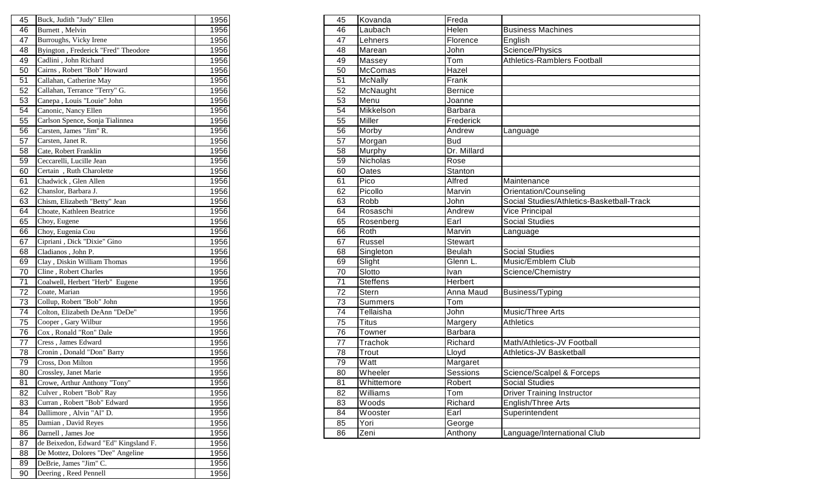| 45 | Buck, Judith "Judy" Ellen             | 1956 | 45              | Kovanda         | Freda          |                 |
|----|---------------------------------------|------|-----------------|-----------------|----------------|-----------------|
| 46 | Burnett, Melvin                       | 1956 | 46              | Laubach         | Helen          | <b>Business</b> |
| 47 | Burroughs, Vicky Irene                | 1956 | 47              | Lehners         | Florence       | English         |
| 48 | Byington, Frederick "Fred" Theodore   | 1956 | 48              | Marean          | John           | Science/P       |
| 49 | Cadlini, John Richard                 | 1956 | 49              | Massey          | Tom            | Athletics-I     |
| 50 | Cairns, Robert "Bob" Howard           | 1956 | 50              | <b>McComas</b>  | Hazel          |                 |
| 51 | Callahan, Catherine May               | 1956 | 51              | <b>McNally</b>  | Frank          |                 |
| 52 | Callahan, Terrance "Terry" G.         | 1956 | 52              | McNaught        | <b>Bernice</b> |                 |
| 53 | Canepa, Louis "Louie" John            | 1956 | 53              | Menu            | Joanne         |                 |
| 54 | Canonic, Nancy Ellen                  | 1956 | 54              | Mikkelson       | Barbara        |                 |
| 55 | Carlson Spence, Sonja Tialinnea       | 1956 | 55              | Miller          | Frederick      |                 |
| 56 | Carsten, James "Jim" R.               | 1956 | 56              | Morby           | Andrew         | Language        |
| 57 | Carsten, Janet R.                     | 1956 | 57              | Morgan          | <b>Bud</b>     |                 |
| 58 | Cate, Robert Franklin                 | 1956 | 58              | Murphy          | Dr. Millard    |                 |
| 59 | Ceccarelli, Lucille Jean              | 1956 | 59              | Nicholas        | Rose           |                 |
| 60 | Certain, Ruth Charolette              | 1956 | 60              | Oates           | Stanton        |                 |
| 61 | Chadwick, Glen Allen                  | 1956 | 61              | Pico            | Alfred         | Maintenar       |
| 62 | Chanslor, Barbara J.                  | 1956 | 62              | Picollo         | Marvin         | Orientatio      |
| 63 | Chism, Elizabeth "Betty" Jean         | 1956 | 63              | Robb            | John           | Social Stu      |
| 64 | Choate, Kathleen Beatrice             | 1956 | 64              | Rosaschi        | Andrew         | Vice Princ      |
| 65 | Choy, Eugene                          | 1956 | 65              | Rosenberg       | Earl           | Social Stu      |
| 66 | Choy, Eugenia Cou                     | 1956 | 66              | Roth            | Marvin         | Language        |
| 67 | Cipriani, Dick "Dixie" Gino           | 1956 | 67              | Russel          | <b>Stewart</b> |                 |
| 68 | Cladianos, John P.                    | 1956 | 68              | Singleton       | <b>Beulah</b>  | Social Stu      |
| 69 | Clay, Diskin William Thomas           | 1956 | 69              | Slight          | Glenn L.       | Music/Em        |
| 70 | Cline, Robert Charles                 | 1956 | 70              | Slotto          | Ivan           | Science/C       |
| 71 | Coalwell, Herbert "Herb" Eugene       | 1956 | 71              | <b>Steffens</b> | Herbert        |                 |
| 72 | Coate, Marian                         | 1956 | $\overline{72}$ | <b>Stern</b>    | Anna Maud      | Business/       |
| 73 | Collup, Robert "Bob" John             | 1956 | $\overline{73}$ | <b>Summers</b>  | Tom            |                 |
| 74 | Colton, Elizabeth DeAnn "DeDe"        | 1956 | 74              | Tellaisha       | John           | Music/Thr       |
| 75 | Cooper, Gary Wilbur                   | 1956 | 75              | <b>Titus</b>    | Margery        | Athletics       |
| 76 | Cox, Ronald "Ron" Dale                | 1956 | 76              | Towner          | <b>Barbara</b> |                 |
| 77 | Cress, James Edward                   | 1956 | 77              | Trachok         | Richard        | Math/Athle      |
| 78 | Cronin, Donald "Don" Barry            | 1956 | 78              | Trout           | Lloyd          | Athletics-      |
| 79 | Cross, Don Milton                     | 1956 | 79              | Watt            | Margaret       |                 |
| 80 | Crossley, Janet Marie                 | 1956 | 80              | Wheeler         | Sessions       | Science/S       |
| 81 | Crowe, Arthur Anthony "Tony"          | 1956 | 81              | Whittemore      | Robert         | Social Stu      |
| 82 | Culver, Robert "Bob" Ray              | 1956 | 82              | Williams        | Tom            | Driver Tra      |
| 83 | Curran, Robert "Bob" Edward           | 1956 | 83              | Woods           | Richard        | English/TI      |
| 84 | Dallimore, Alvin "Al" D.              | 1956 | 84              | Wooster         | Earl           | Superinter      |
| 85 | Damian, David Reyes                   | 1956 | 85              | Yori            | George         |                 |
| 86 | Darnell, James Joe                    | 1956 | 86              | Zeni            | Anthony        | Language        |
| 87 | de Beixedon, Edward "Ed" Kingsland F. | 1956 |                 |                 |                |                 |
| 88 | De Mottez, Dolores "Dee" Angeline     | 1956 |                 |                 |                |                 |
| 89 | DeBrie, James "Jim" C.                | 1956 |                 |                 |                |                 |
| 90 | Deering, Reed Pennell                 | 1956 |                 |                 |                |                 |
|    |                                       |      |                 |                 |                |                 |

|                 | 45 Buck, Judith "Judy" Ellen        | 1956 | 45              | Kovanda        | Freda          |                                           |
|-----------------|-------------------------------------|------|-----------------|----------------|----------------|-------------------------------------------|
| 46              | Burnett, Melvin                     | 1956 | 46              | Laubach        | Helen          | <b>Business Machines</b>                  |
| 47              | Burroughs, Vicky Irene              | 1956 | 47              | Lehners        | Florence       | English                                   |
| 48              | Byington, Frederick "Fred" Theodore | 1956 | 48              | Marean         | John           | Science/Physics                           |
| 49              | Cadlini, John Richard               | 1956 | 49              | Massey         | Tom            | Athletics-Ramblers Football               |
| $\overline{50}$ | Cairns, Robert "Bob" Howard         | 1956 | 50              | <b>McComas</b> | Hazel          |                                           |
| 51              | Callahan, Catherine May             | 1956 | 51              | McNally        | Frank          |                                           |
| 52              | Callahan, Terrance "Terry" G.       | 1956 | 52              | McNaught       | <b>Bernice</b> |                                           |
| $\overline{53}$ | Canepa, Louis "Louie" John          | 1956 | $\overline{53}$ | Menu           | Joanne         |                                           |
| 54              | Canonic, Nancy Ellen                | 1956 | 54              | Mikkelson      | Barbara        |                                           |
| 55              | Carlson Spence, Sonja Tialinnea     | 1956 | 55              | <b>Miller</b>  | Frederick      |                                           |
| 56              | Carsten, James "Jim" R.             | 1956 | 56              | Morby          | Andrew         | Language                                  |
| 57              | Carsten, Janet R.                   | 1956 | 57              | Morgan         | <b>Bud</b>     |                                           |
| $\overline{58}$ | Cate, Robert Franklin               | 1956 | 58              | Murphy         | Dr. Millard    |                                           |
| 59              | Ceccarelli, Lucille Jean            | 1956 | 59              | Nicholas       | Rose           |                                           |
| 60              | Certain, Ruth Charolette            | 1956 | 60              | Oates          | Stanton        |                                           |
| 61              | Chadwick, Glen Allen                | 1956 | 61              | Pico           | Alfred         | Maintenance                               |
| 62              | Chanslor, Barbara J.                | 1956 | 62              | Picollo        | Marvin         | Orientation/Counseling                    |
| 63              | Chism, Elizabeth "Betty" Jean       | 1956 | 63              | Robb           | John           | Social Studies/Athletics-Basketball-Track |
| 64              | Choate, Kathleen Beatrice           | 1956 | 64              | Rosaschi       | Andrew         | <b>Vice Principal</b>                     |
| 65              | Choy, Eugene                        | 1956 | 65              | Rosenberg      | Earl           | <b>Social Studies</b>                     |
| 66              | Choy, Eugenia Cou                   | 1956 | 66              | Roth           | Marvin         | Language                                  |
| 67              | Cipriani, Dick "Dixie" Gino         | 1956 | 67              | Russel         | <b>Stewart</b> |                                           |
| 68              | Cladianos, John P.                  | 1956 | 68              | Singleton      | Beulah         | <b>Social Studies</b>                     |
| 69              | Clay, Diskin William Thomas         | 1956 | 69              | Slight         | Glenn L.       | Music/Emblem Club                         |
| 70              | Cline, Robert Charles               | 1956 | 70              | Slotto         | Ivan           | Science/Chemistry                         |
| $\overline{71}$ | Coalwell, Herbert "Herb" Eugene     | 1956 | 71              | Steffens       | Herbert        |                                           |
| $\overline{72}$ | Coate, Marian                       | 1956 | $\overline{72}$ | Stern          | Anna Maud      | Business/Typing                           |
| $\overline{73}$ | Collup, Robert "Bob" John           | 1956 | 73              | <b>Summers</b> | Tom            |                                           |
| $\overline{74}$ | Colton, Elizabeth DeAnn "DeDe"      | 1956 | 74              | Tellaisha      | John           | Music/Three Arts                          |
| 75              | Cooper, Gary Wilbur                 | 1956 | 75              | Titus          | Margery        | <b>Athletics</b>                          |
| $\overline{76}$ | Cox, Ronald "Ron" Dale              | 1956 | 76              | Towner         | Barbara        |                                           |
| 77              | Cress, James Edward                 | 1956 | 77              | Trachok        | Richard        | Math/Athletics-JV Football                |
| $\overline{78}$ | Cronin, Donald "Don" Barry          | 1956 | 78              | Trout          | Lloyd          | Athletics-JV Basketball                   |
| 79              | Cross, Don Milton                   | 1956 | 79              | Watt           | Margaret       |                                           |
| $\overline{80}$ | Crossley, Janet Marie               | 1956 | 80              | Wheeler        | Sessions       | Science/Scalpel & Forceps                 |
| $\overline{81}$ | Crowe, Arthur Anthony "Tony"        | 1956 | 81              | Whittemore     | Robert         | <b>Social Studies</b>                     |
| 82              | Culver, Robert "Bob" Ray            | 1956 | 82              | Williams       | Tom            | <b>Driver Training Instructor</b>         |
| 83              | Curran, Robert "Bob" Edward         | 1956 | 83              | Woods          | Richard        | English/Three Arts                        |
| 84              | Dallimore, Alvin "Al" D.            | 1956 | 84              | Wooster        | Earl           | Superintendent                            |
| 85              | Damian, David Reyes                 | 1956 | 85              | Yori           | George         |                                           |
| 86              | Darnell, James Joe                  | 1956 | 86              | Zeni           | Anthony        | Language/International Club               |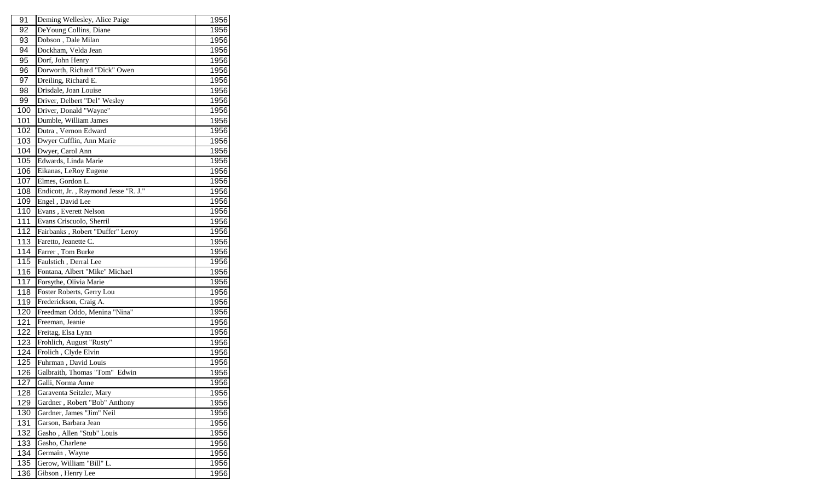| 91  | Deming Wellesley, Alice Paige        | 1956 |
|-----|--------------------------------------|------|
| 92  | DeYoung Collins, Diane               | 1956 |
| 93  | Dobson, Dale Milan                   | 1956 |
| 94  | Dockham, Velda Jean                  | 1956 |
| 95  | Dorf, John Henry                     | 1956 |
| 96  | Dorworth, Richard "Dick" Owen        | 1956 |
| 97  | Dreiling, Richard E.                 | 1956 |
| 98  | Drisdale, Joan Louise                | 1956 |
| 99  | Driver, Delbert "Del" Wesley         | 1956 |
| 100 | Driver, Donald "Wayne"               | 1956 |
| 101 | Dumble, William James                | 1956 |
| 102 | Dutra, Vernon Edward                 | 1956 |
| 103 | Dwyer Cufflin, Ann Marie             | 1956 |
| 104 | Dwyer, Carol Ann                     | 1956 |
| 105 | Edwards, Linda Marie                 | 1956 |
| 106 | Eikanas, LeRoy Eugene                | 1956 |
| 107 | Elmes, Gordon L.                     | 1956 |
| 108 | Endicott, Jr., Raymond Jesse "R. J." | 1956 |
| 109 | Engel, David Lee                     | 1956 |
| 110 | Evans, Everett Nelson                | 1956 |
| 111 | Evans Criscuolo, Sherril             | 1956 |
| 112 | Fairbanks, Robert "Duffer" Leroy     | 1956 |
| 113 | Faretto, Jeanette C.                 | 1956 |
| 114 | Farrer, Tom Burke                    | 1956 |
| 115 | Faulstich, Derral Lee                | 1956 |
| 116 | Fontana, Albert "Mike" Michael       | 1956 |
| 117 | Forsythe, Olivia Marie               | 1956 |
| 118 | Foster Roberts, Gerry Lou            | 1956 |
| 119 | Frederickson, Craig A.               | 1956 |
| 120 | Freedman Oddo, Menina "Nina"         | 1956 |
| 121 | Freeman, Jeanie                      | 1956 |
| 122 | Freitag, Elsa Lynn                   | 1956 |
| 123 | Frohlich, August "Rusty"             | 1956 |
| 124 | Frolich, Clyde Elvin                 | 1956 |
| 125 | Fuhrman, David Louis                 | 1956 |
| 126 | Galbraith, Thomas "Tom" Edwin        | 1956 |
| 127 | Galli, Norma Anne                    | 1956 |
| 128 | Garaventa Seitzler, Mary             | 1956 |
| 129 | Gardner, Robert "Bob" Anthony        | 1956 |
| 130 | Gardner, James "Jim" Neil            | 1956 |
| 131 | Garson, Barbara Jean                 | 1956 |
| 132 | Gasho, Allen "Stub" Louis            | 1956 |
| 133 | Gasho, Charlene                      | 1956 |
| 134 | Germain, Wayne                       | 1956 |
| 135 | Gerow, William "Bill" L.             | 1956 |
| 136 | Gibson, Henry Lee                    | 1956 |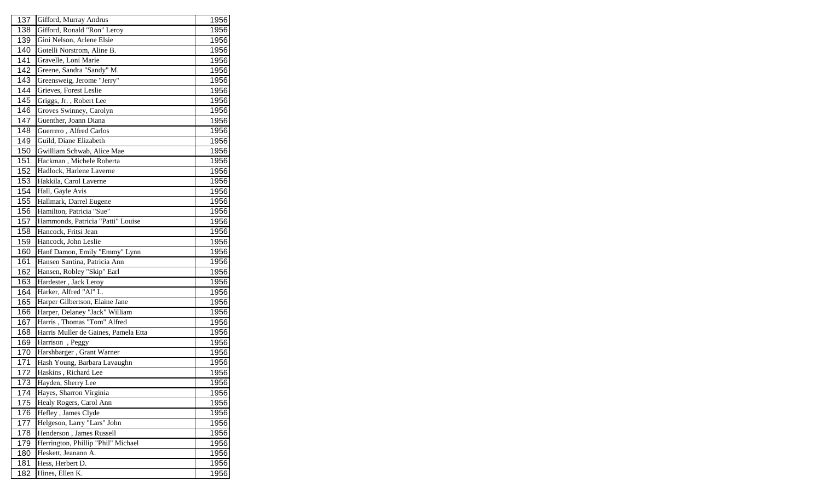| 137<br>Gifford, Murray Andrus<br>138<br>Gifford, Ronald "Ron" Leroy<br>Gini Nelson, Arlene Elsie<br>139<br>140<br>Gotelli Norstrom, Aline B.<br>Gravelle, Loni Marie<br>141<br>142<br>Greene, Sandra "Sandy" M.<br>Greensweig, Jerome "Jerry"<br>143<br>Grieves, Forest Leslie<br>144<br>Griggs, Jr., Robert Lee<br>145<br>Groves Swinney, Carolyn<br>146<br>147<br>Guenther, Joann Diana<br>148<br>Guerrero, Alfred Carlos<br>149<br>Guild, Diane Elizabeth<br>Gwilliam Schwab, Alice Mae<br>150<br>151<br>Hackman, Michele Roberta<br>152<br>Hadlock, Harlene Laverne<br>1956<br>153<br>Hakkila, Carol Laverne<br>1956<br>154<br>Hall, Gayle Avis<br>1956<br>155<br>Hallmark, Darrel Eugene<br>1956<br>Hamilton, Patricia "Sue"<br>156<br>1956<br>Hammonds, Patricia "Patti" Louise<br>157<br>1956<br>158<br>Hancock, Fritsi Jean<br>1956<br>159<br>Hancock, John Leslie<br>160<br>Hanf Damon, Emily "Emmy" Lynn<br>Hansen Santina, Patricia Ann<br>161<br>162<br>Hansen, Robley "Skip" Earl<br>163<br>Hardester, Jack Leroy<br>Harker, Alfred "Al" L.<br>164<br>165<br>Harper Gilbertson, Elaine Jane<br>Harper, Delaney "Jack" William<br>166<br>Harris, Thomas "Tom" Alfred<br>167<br>1956<br>Harris Muller de Gaines, Pamela Etta<br>168<br>169<br>Harrison, Peggy<br>Harshbarger, Grant Warner<br>170<br>Hash Young, Barbara Lavaughn<br>171<br>1956<br>Haskins, Richard Lee<br>172<br>1956<br>Hayden, Sherry Lee<br>1956<br>173<br>Hayes, Sharron Virginia<br>174<br>Healy Rogers, Carol Ann<br>175<br>176<br>Hefley, James Clyde<br>Helgeson, Larry "Lars" John<br>177<br>Henderson, James Russell<br>178<br>Herrington, Phillip "Phil" Michael<br>179<br>180<br>Heskett, Jeanann A.<br>181<br>Hess, Herbert D.<br>1956<br>182<br>Hines, Ellen K. |  |      |
|------------------------------------------------------------------------------------------------------------------------------------------------------------------------------------------------------------------------------------------------------------------------------------------------------------------------------------------------------------------------------------------------------------------------------------------------------------------------------------------------------------------------------------------------------------------------------------------------------------------------------------------------------------------------------------------------------------------------------------------------------------------------------------------------------------------------------------------------------------------------------------------------------------------------------------------------------------------------------------------------------------------------------------------------------------------------------------------------------------------------------------------------------------------------------------------------------------------------------------------------------------------------------------------------------------------------------------------------------------------------------------------------------------------------------------------------------------------------------------------------------------------------------------------------------------------------------------------------------------------------------------------------------------------------------------------------------------------------------------------------------------|--|------|
|                                                                                                                                                                                                                                                                                                                                                                                                                                                                                                                                                                                                                                                                                                                                                                                                                                                                                                                                                                                                                                                                                                                                                                                                                                                                                                                                                                                                                                                                                                                                                                                                                                                                                                                                                            |  | 1956 |
|                                                                                                                                                                                                                                                                                                                                                                                                                                                                                                                                                                                                                                                                                                                                                                                                                                                                                                                                                                                                                                                                                                                                                                                                                                                                                                                                                                                                                                                                                                                                                                                                                                                                                                                                                            |  | 1956 |
|                                                                                                                                                                                                                                                                                                                                                                                                                                                                                                                                                                                                                                                                                                                                                                                                                                                                                                                                                                                                                                                                                                                                                                                                                                                                                                                                                                                                                                                                                                                                                                                                                                                                                                                                                            |  | 1956 |
|                                                                                                                                                                                                                                                                                                                                                                                                                                                                                                                                                                                                                                                                                                                                                                                                                                                                                                                                                                                                                                                                                                                                                                                                                                                                                                                                                                                                                                                                                                                                                                                                                                                                                                                                                            |  | 1956 |
|                                                                                                                                                                                                                                                                                                                                                                                                                                                                                                                                                                                                                                                                                                                                                                                                                                                                                                                                                                                                                                                                                                                                                                                                                                                                                                                                                                                                                                                                                                                                                                                                                                                                                                                                                            |  | 1956 |
|                                                                                                                                                                                                                                                                                                                                                                                                                                                                                                                                                                                                                                                                                                                                                                                                                                                                                                                                                                                                                                                                                                                                                                                                                                                                                                                                                                                                                                                                                                                                                                                                                                                                                                                                                            |  | 1956 |
|                                                                                                                                                                                                                                                                                                                                                                                                                                                                                                                                                                                                                                                                                                                                                                                                                                                                                                                                                                                                                                                                                                                                                                                                                                                                                                                                                                                                                                                                                                                                                                                                                                                                                                                                                            |  | 1956 |
|                                                                                                                                                                                                                                                                                                                                                                                                                                                                                                                                                                                                                                                                                                                                                                                                                                                                                                                                                                                                                                                                                                                                                                                                                                                                                                                                                                                                                                                                                                                                                                                                                                                                                                                                                            |  | 1956 |
|                                                                                                                                                                                                                                                                                                                                                                                                                                                                                                                                                                                                                                                                                                                                                                                                                                                                                                                                                                                                                                                                                                                                                                                                                                                                                                                                                                                                                                                                                                                                                                                                                                                                                                                                                            |  | 1956 |
|                                                                                                                                                                                                                                                                                                                                                                                                                                                                                                                                                                                                                                                                                                                                                                                                                                                                                                                                                                                                                                                                                                                                                                                                                                                                                                                                                                                                                                                                                                                                                                                                                                                                                                                                                            |  | 1956 |
|                                                                                                                                                                                                                                                                                                                                                                                                                                                                                                                                                                                                                                                                                                                                                                                                                                                                                                                                                                                                                                                                                                                                                                                                                                                                                                                                                                                                                                                                                                                                                                                                                                                                                                                                                            |  | 1956 |
|                                                                                                                                                                                                                                                                                                                                                                                                                                                                                                                                                                                                                                                                                                                                                                                                                                                                                                                                                                                                                                                                                                                                                                                                                                                                                                                                                                                                                                                                                                                                                                                                                                                                                                                                                            |  | 1956 |
|                                                                                                                                                                                                                                                                                                                                                                                                                                                                                                                                                                                                                                                                                                                                                                                                                                                                                                                                                                                                                                                                                                                                                                                                                                                                                                                                                                                                                                                                                                                                                                                                                                                                                                                                                            |  | 1956 |
|                                                                                                                                                                                                                                                                                                                                                                                                                                                                                                                                                                                                                                                                                                                                                                                                                                                                                                                                                                                                                                                                                                                                                                                                                                                                                                                                                                                                                                                                                                                                                                                                                                                                                                                                                            |  | 1956 |
|                                                                                                                                                                                                                                                                                                                                                                                                                                                                                                                                                                                                                                                                                                                                                                                                                                                                                                                                                                                                                                                                                                                                                                                                                                                                                                                                                                                                                                                                                                                                                                                                                                                                                                                                                            |  | 1956 |
|                                                                                                                                                                                                                                                                                                                                                                                                                                                                                                                                                                                                                                                                                                                                                                                                                                                                                                                                                                                                                                                                                                                                                                                                                                                                                                                                                                                                                                                                                                                                                                                                                                                                                                                                                            |  |      |
|                                                                                                                                                                                                                                                                                                                                                                                                                                                                                                                                                                                                                                                                                                                                                                                                                                                                                                                                                                                                                                                                                                                                                                                                                                                                                                                                                                                                                                                                                                                                                                                                                                                                                                                                                            |  |      |
|                                                                                                                                                                                                                                                                                                                                                                                                                                                                                                                                                                                                                                                                                                                                                                                                                                                                                                                                                                                                                                                                                                                                                                                                                                                                                                                                                                                                                                                                                                                                                                                                                                                                                                                                                            |  |      |
|                                                                                                                                                                                                                                                                                                                                                                                                                                                                                                                                                                                                                                                                                                                                                                                                                                                                                                                                                                                                                                                                                                                                                                                                                                                                                                                                                                                                                                                                                                                                                                                                                                                                                                                                                            |  |      |
|                                                                                                                                                                                                                                                                                                                                                                                                                                                                                                                                                                                                                                                                                                                                                                                                                                                                                                                                                                                                                                                                                                                                                                                                                                                                                                                                                                                                                                                                                                                                                                                                                                                                                                                                                            |  |      |
|                                                                                                                                                                                                                                                                                                                                                                                                                                                                                                                                                                                                                                                                                                                                                                                                                                                                                                                                                                                                                                                                                                                                                                                                                                                                                                                                                                                                                                                                                                                                                                                                                                                                                                                                                            |  |      |
|                                                                                                                                                                                                                                                                                                                                                                                                                                                                                                                                                                                                                                                                                                                                                                                                                                                                                                                                                                                                                                                                                                                                                                                                                                                                                                                                                                                                                                                                                                                                                                                                                                                                                                                                                            |  |      |
|                                                                                                                                                                                                                                                                                                                                                                                                                                                                                                                                                                                                                                                                                                                                                                                                                                                                                                                                                                                                                                                                                                                                                                                                                                                                                                                                                                                                                                                                                                                                                                                                                                                                                                                                                            |  | 1956 |
|                                                                                                                                                                                                                                                                                                                                                                                                                                                                                                                                                                                                                                                                                                                                                                                                                                                                                                                                                                                                                                                                                                                                                                                                                                                                                                                                                                                                                                                                                                                                                                                                                                                                                                                                                            |  | 1956 |
|                                                                                                                                                                                                                                                                                                                                                                                                                                                                                                                                                                                                                                                                                                                                                                                                                                                                                                                                                                                                                                                                                                                                                                                                                                                                                                                                                                                                                                                                                                                                                                                                                                                                                                                                                            |  | 1956 |
|                                                                                                                                                                                                                                                                                                                                                                                                                                                                                                                                                                                                                                                                                                                                                                                                                                                                                                                                                                                                                                                                                                                                                                                                                                                                                                                                                                                                                                                                                                                                                                                                                                                                                                                                                            |  | 1956 |
|                                                                                                                                                                                                                                                                                                                                                                                                                                                                                                                                                                                                                                                                                                                                                                                                                                                                                                                                                                                                                                                                                                                                                                                                                                                                                                                                                                                                                                                                                                                                                                                                                                                                                                                                                            |  | 1956 |
|                                                                                                                                                                                                                                                                                                                                                                                                                                                                                                                                                                                                                                                                                                                                                                                                                                                                                                                                                                                                                                                                                                                                                                                                                                                                                                                                                                                                                                                                                                                                                                                                                                                                                                                                                            |  | 1956 |
|                                                                                                                                                                                                                                                                                                                                                                                                                                                                                                                                                                                                                                                                                                                                                                                                                                                                                                                                                                                                                                                                                                                                                                                                                                                                                                                                                                                                                                                                                                                                                                                                                                                                                                                                                            |  | 1956 |
|                                                                                                                                                                                                                                                                                                                                                                                                                                                                                                                                                                                                                                                                                                                                                                                                                                                                                                                                                                                                                                                                                                                                                                                                                                                                                                                                                                                                                                                                                                                                                                                                                                                                                                                                                            |  | 1956 |
|                                                                                                                                                                                                                                                                                                                                                                                                                                                                                                                                                                                                                                                                                                                                                                                                                                                                                                                                                                                                                                                                                                                                                                                                                                                                                                                                                                                                                                                                                                                                                                                                                                                                                                                                                            |  |      |
|                                                                                                                                                                                                                                                                                                                                                                                                                                                                                                                                                                                                                                                                                                                                                                                                                                                                                                                                                                                                                                                                                                                                                                                                                                                                                                                                                                                                                                                                                                                                                                                                                                                                                                                                                            |  | 1956 |
|                                                                                                                                                                                                                                                                                                                                                                                                                                                                                                                                                                                                                                                                                                                                                                                                                                                                                                                                                                                                                                                                                                                                                                                                                                                                                                                                                                                                                                                                                                                                                                                                                                                                                                                                                            |  | 1956 |
|                                                                                                                                                                                                                                                                                                                                                                                                                                                                                                                                                                                                                                                                                                                                                                                                                                                                                                                                                                                                                                                                                                                                                                                                                                                                                                                                                                                                                                                                                                                                                                                                                                                                                                                                                            |  | 1956 |
|                                                                                                                                                                                                                                                                                                                                                                                                                                                                                                                                                                                                                                                                                                                                                                                                                                                                                                                                                                                                                                                                                                                                                                                                                                                                                                                                                                                                                                                                                                                                                                                                                                                                                                                                                            |  |      |
|                                                                                                                                                                                                                                                                                                                                                                                                                                                                                                                                                                                                                                                                                                                                                                                                                                                                                                                                                                                                                                                                                                                                                                                                                                                                                                                                                                                                                                                                                                                                                                                                                                                                                                                                                            |  |      |
|                                                                                                                                                                                                                                                                                                                                                                                                                                                                                                                                                                                                                                                                                                                                                                                                                                                                                                                                                                                                                                                                                                                                                                                                                                                                                                                                                                                                                                                                                                                                                                                                                                                                                                                                                            |  |      |
|                                                                                                                                                                                                                                                                                                                                                                                                                                                                                                                                                                                                                                                                                                                                                                                                                                                                                                                                                                                                                                                                                                                                                                                                                                                                                                                                                                                                                                                                                                                                                                                                                                                                                                                                                            |  | 1956 |
|                                                                                                                                                                                                                                                                                                                                                                                                                                                                                                                                                                                                                                                                                                                                                                                                                                                                                                                                                                                                                                                                                                                                                                                                                                                                                                                                                                                                                                                                                                                                                                                                                                                                                                                                                            |  | 1956 |
|                                                                                                                                                                                                                                                                                                                                                                                                                                                                                                                                                                                                                                                                                                                                                                                                                                                                                                                                                                                                                                                                                                                                                                                                                                                                                                                                                                                                                                                                                                                                                                                                                                                                                                                                                            |  | 1956 |
|                                                                                                                                                                                                                                                                                                                                                                                                                                                                                                                                                                                                                                                                                                                                                                                                                                                                                                                                                                                                                                                                                                                                                                                                                                                                                                                                                                                                                                                                                                                                                                                                                                                                                                                                                            |  | 1956 |
|                                                                                                                                                                                                                                                                                                                                                                                                                                                                                                                                                                                                                                                                                                                                                                                                                                                                                                                                                                                                                                                                                                                                                                                                                                                                                                                                                                                                                                                                                                                                                                                                                                                                                                                                                            |  | 1956 |
|                                                                                                                                                                                                                                                                                                                                                                                                                                                                                                                                                                                                                                                                                                                                                                                                                                                                                                                                                                                                                                                                                                                                                                                                                                                                                                                                                                                                                                                                                                                                                                                                                                                                                                                                                            |  | 1956 |
|                                                                                                                                                                                                                                                                                                                                                                                                                                                                                                                                                                                                                                                                                                                                                                                                                                                                                                                                                                                                                                                                                                                                                                                                                                                                                                                                                                                                                                                                                                                                                                                                                                                                                                                                                            |  | 1956 |
|                                                                                                                                                                                                                                                                                                                                                                                                                                                                                                                                                                                                                                                                                                                                                                                                                                                                                                                                                                                                                                                                                                                                                                                                                                                                                                                                                                                                                                                                                                                                                                                                                                                                                                                                                            |  |      |
|                                                                                                                                                                                                                                                                                                                                                                                                                                                                                                                                                                                                                                                                                                                                                                                                                                                                                                                                                                                                                                                                                                                                                                                                                                                                                                                                                                                                                                                                                                                                                                                                                                                                                                                                                            |  | 1956 |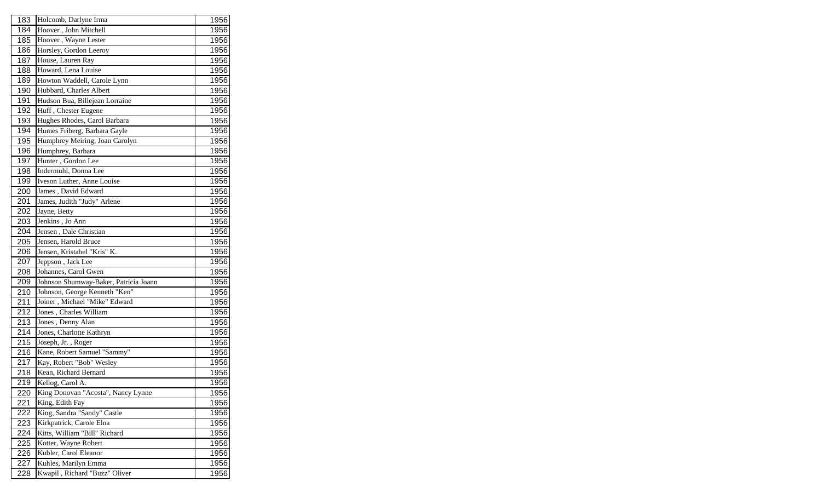| 183 | Holcomb, Darlyne Irma                 | 1956 |
|-----|---------------------------------------|------|
| 184 | Hoover, John Mitchell                 | 1956 |
| 185 | Hoover, Wayne Lester                  | 1956 |
| 186 | Horsley, Gordon Leeroy                | 1956 |
| 187 | House, Lauren Ray                     | 1956 |
| 188 | Howard, Lena Louise                   | 1956 |
| 189 | Howton Waddell, Carole Lynn           | 1956 |
| 190 | Hubbard, Charles Albert               | 1956 |
| 191 | Hudson Bua, Billejean Lorraine        | 1956 |
| 192 | Huff, Chester Eugene                  | 1956 |
| 193 | Hughes Rhodes, Carol Barbara          | 1956 |
| 194 | Humes Friberg, Barbara Gayle          | 1956 |
| 195 | Humphrey Meiring, Joan Carolyn        | 1956 |
| 196 | Humphrey, Barbara                     | 1956 |
| 197 | Hunter, Gordon Lee                    | 1956 |
| 198 | Indermuhl, Donna Lee                  | 1956 |
| 199 | Iveson Luther, Anne Louise            | 1956 |
| 200 | James, David Edward                   | 1956 |
| 201 | James, Judith "Judy" Arlene           | 1956 |
| 202 | Jayne, Betty                          | 1956 |
| 203 | Jenkins, Jo Ann                       | 1956 |
| 204 | Jensen, Dale Christian                | 1956 |
| 205 | Jensen, Harold Bruce                  | 1956 |
| 206 | Jensen, Kristabel "Kris" K.           | 1956 |
| 207 | Jeppson, Jack Lee                     | 1956 |
| 208 | Johannes, Carol Gwen                  | 1956 |
| 209 | Johnson Shumway-Baker, Patricia Joann | 1956 |
| 210 | Johnson, George Kenneth "Ken"         | 1956 |
| 211 | Joiner, Michael "Mike" Edward         | 1956 |
| 212 | Jones, Charles William                | 1956 |
| 213 | Jones, Denny Alan                     | 1956 |
| 214 | Jones, Charlotte Kathryn              | 1956 |
| 215 | Joseph, Jr., Roger                    | 1956 |
| 216 | Kane, Robert Samuel "Sammy"           | 1956 |
| 217 | Kay, Robert "Bob" Wesley              | 1956 |
| 218 | Kean, Richard Bernard                 | 1956 |
| 219 | Kellog, Carol A.                      | 1956 |
| 220 | King Donovan "Acosta", Nancy Lynne    | 1956 |
| 221 | King, Edith Fay                       | 1956 |
| 222 | King, Sandra "Sandy" Castle           | 1956 |
| 223 | Kirkpatrick, Carole Elna              | 1956 |
| 224 | Kitts, William "Bill" Richard         | 1956 |
| 225 | Kotter, Wayne Robert                  | 1956 |
| 226 | Kubler, Carol Eleanor                 | 1956 |
| 227 | Kuhles, Marilyn Emma                  | 1956 |
| 228 | Kwapil, Richard "Buzz" Oliver         | 1956 |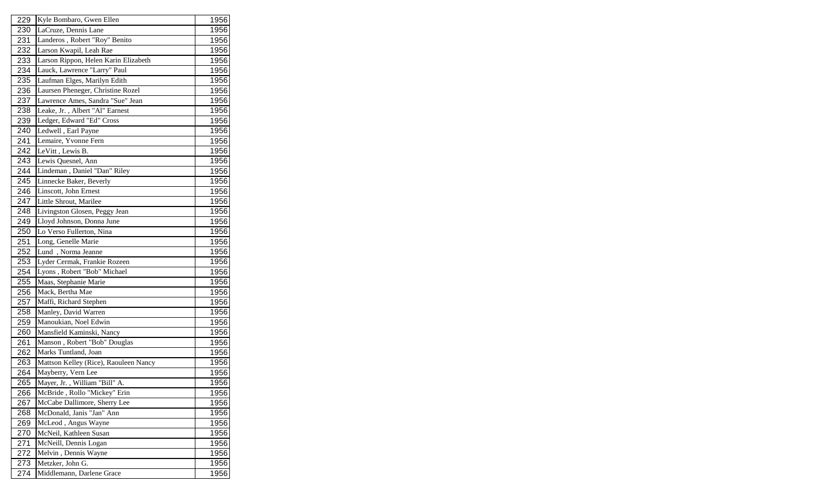| 229 | Kyle Bombaro, Gwen Ellen              | 1956 |
|-----|---------------------------------------|------|
| 230 | LaCruze, Dennis Lane                  | 1956 |
| 231 | Landeros, Robert "Roy" Benito         | 1956 |
| 232 | Larson Kwapil, Leah Rae               | 1956 |
| 233 | Larson Rippon, Helen Karin Elizabeth  | 1956 |
| 234 | Lauck, Lawrence "Larry" Paul          | 1956 |
| 235 | Laufman Elges, Marilyn Edith          | 1956 |
| 236 | Laursen Pheneger, Christine Rozel     | 1956 |
| 237 | Lawrence Ames, Sandra "Sue" Jean      | 1956 |
| 238 | Leake, Jr., Albert "Al" Earnest       | 1956 |
| 239 | Ledger, Edward "Ed" Cross             | 1956 |
| 240 | Ledwell, Earl Payne                   | 1956 |
| 241 | Lemaire, Yvonne Fern                  | 1956 |
| 242 | LeVitt, Lewis B.                      | 1956 |
| 243 | Lewis Quesnel, Ann                    | 1956 |
| 244 | Lindeman, Daniel "Dan" Riley          | 1956 |
| 245 | Linnecke Baker, Beverly               | 1956 |
| 246 | Linscott, John Ernest                 | 1956 |
| 247 | Little Shrout, Marilee                | 1956 |
| 248 | Livingston Glosen, Peggy Jean         | 1956 |
| 249 | Lloyd Johnson, Donna June             | 1956 |
| 250 | Lo Verso Fullerton, Nina              | 1956 |
| 251 | Long, Genelle Marie                   | 1956 |
| 252 | Lund, Norma Jeanne                    | 1956 |
| 253 | Lyder Cermak, Frankie Rozeen          | 1956 |
| 254 | Lyons, Robert "Bob" Michael           | 1956 |
| 255 | Maas, Stephanie Marie                 | 1956 |
| 256 | Mack, Bertha Mae                      | 1956 |
| 257 | Maffi, Richard Stephen                | 1956 |
| 258 | Manley, David Warren                  | 1956 |
| 259 | Manoukian, Noel Edwin                 | 1956 |
| 260 | Mansfield Kaminski, Nancy             | 1956 |
| 261 | Manson, Robert "Bob" Douglas          | 1956 |
| 262 | Marks Tuntland, Joan                  | 1956 |
| 263 | Mattson Kelley (Rice), Raouleen Nancy | 1956 |
| 264 | Mayberry, Vern Lee                    | 1956 |
| 265 | Mayer, Jr., William "Bill" A.         | 1956 |
| 266 | McBride, Rollo "Mickey" Erin          | 1956 |
| 267 | McCabe Dallimore, Sherry Lee          | 1956 |
| 268 | McDonald, Janis "Jan" Ann             | 1956 |
| 269 | McLeod, Angus Wayne                   | 1956 |
| 270 | McNeil, Kathleen Susan                | 1956 |
| 271 | McNeill, Dennis Logan                 | 1956 |
| 272 | Melvin, Dennis Wayne                  | 1956 |
| 273 | Metzker, John G.                      | 1956 |
| 274 | Middlemann, Darlene Grace             | 1956 |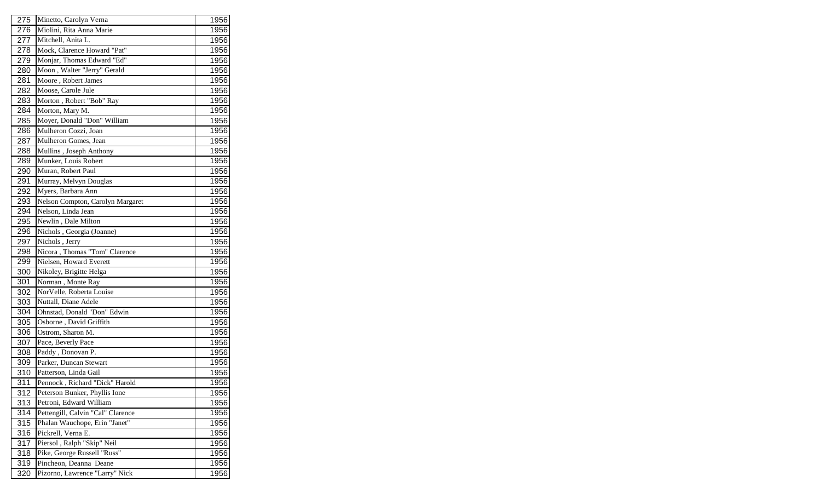| 275<br>1956<br>Minetto, Carolyn Verna<br>Miolini, Rita Anna Marie<br>276<br>1956<br>Mitchell, Anita L.<br>277<br>1956<br>278<br>Mock, Clarence Howard "Pat"<br>1956<br>Monjar, Thomas Edward "Ed"<br>279<br>1956<br>Moon, Walter "Jerry" Gerald<br>280<br>1956<br>Moore, Robert James<br>281<br>1956<br>Moose, Carole Jule<br>282<br>1956<br>Morton, Robert "Bob" Ray<br>1956<br>283<br>Morton, Mary M.<br>1956<br>284<br>Moyer, Donald "Don" William<br>285<br>1956<br>Mulheron Cozzi, Joan<br>286<br>1956<br>287<br>Mulheron Gomes, Jean<br>1956<br>Mullins, Joseph Anthony<br>1956<br>288<br>289<br>Munker, Louis Robert<br>1956<br>290<br>Muran, Robert Paul<br>1956<br>Murray, Melvyn Douglas<br>1956<br>291<br>292<br>Myers, Barbara Ann<br>1956<br>Nelson Compton, Carolyn Margaret<br>293<br>1956<br>294<br>Nelson, Linda Jean<br>1956<br>Newlin, Dale Milton<br>295<br>1956<br>Nichols, Georgia (Joanne)<br>296<br>1956<br>Nichols, Jerry<br>297<br>1956<br>Nicora, Thomas "Tom" Clarence<br>298<br>1956<br>Nielsen, Howard Everett<br>1956<br>299<br>Nikoley, Brigitte Helga<br>1956<br>300<br>301<br>Norman, Monte Ray<br>1956<br>NorVelle, Roberta Louise<br>302<br>1956<br>Nuttall, Diane Adele<br>303<br>1956<br>Ohnstad, Donald "Don" Edwin<br>304<br>1956<br>Osborne, David Griffith<br>305<br>1956<br>Ostrom, Sharon M.<br>306<br>1956<br>307<br>Pace, Beverly Pace<br>1956<br>308<br>Paddy, Donovan P.<br>1956<br>Parker, Duncan Stewart<br>309<br>1956<br>310<br>Patterson, Linda Gail<br>1956<br>311<br>Pennock, Richard "Dick" Harold<br>1956<br>312<br>Peterson Bunker, Phyllis Ione<br>1956<br>Petroni, Edward William<br>313<br>1956<br>Pettengill, Calvin "Cal" Clarence<br>1956<br>314<br>315<br>Phalan Wauchope, Erin "Janet"<br>1956<br>Pickrell, Verna E.<br>1956<br>316<br>Piersol, Ralph "Skip" Neil<br>317<br>1956<br>Pike, George Russell "Russ"<br>318<br>1956<br>319<br>Pincheon, Deanna Deane<br>1956<br>320<br>Pizorno, Lawrence "Larry" Nick<br>1956 |  |  |
|--------------------------------------------------------------------------------------------------------------------------------------------------------------------------------------------------------------------------------------------------------------------------------------------------------------------------------------------------------------------------------------------------------------------------------------------------------------------------------------------------------------------------------------------------------------------------------------------------------------------------------------------------------------------------------------------------------------------------------------------------------------------------------------------------------------------------------------------------------------------------------------------------------------------------------------------------------------------------------------------------------------------------------------------------------------------------------------------------------------------------------------------------------------------------------------------------------------------------------------------------------------------------------------------------------------------------------------------------------------------------------------------------------------------------------------------------------------------------------------------------------------------------------------------------------------------------------------------------------------------------------------------------------------------------------------------------------------------------------------------------------------------------------------------------------------------------------------------------------------------------------------------------------------------------------------------------------------------------------------------|--|--|
|                                                                                                                                                                                                                                                                                                                                                                                                                                                                                                                                                                                                                                                                                                                                                                                                                                                                                                                                                                                                                                                                                                                                                                                                                                                                                                                                                                                                                                                                                                                                                                                                                                                                                                                                                                                                                                                                                                                                                                                            |  |  |
|                                                                                                                                                                                                                                                                                                                                                                                                                                                                                                                                                                                                                                                                                                                                                                                                                                                                                                                                                                                                                                                                                                                                                                                                                                                                                                                                                                                                                                                                                                                                                                                                                                                                                                                                                                                                                                                                                                                                                                                            |  |  |
|                                                                                                                                                                                                                                                                                                                                                                                                                                                                                                                                                                                                                                                                                                                                                                                                                                                                                                                                                                                                                                                                                                                                                                                                                                                                                                                                                                                                                                                                                                                                                                                                                                                                                                                                                                                                                                                                                                                                                                                            |  |  |
|                                                                                                                                                                                                                                                                                                                                                                                                                                                                                                                                                                                                                                                                                                                                                                                                                                                                                                                                                                                                                                                                                                                                                                                                                                                                                                                                                                                                                                                                                                                                                                                                                                                                                                                                                                                                                                                                                                                                                                                            |  |  |
|                                                                                                                                                                                                                                                                                                                                                                                                                                                                                                                                                                                                                                                                                                                                                                                                                                                                                                                                                                                                                                                                                                                                                                                                                                                                                                                                                                                                                                                                                                                                                                                                                                                                                                                                                                                                                                                                                                                                                                                            |  |  |
|                                                                                                                                                                                                                                                                                                                                                                                                                                                                                                                                                                                                                                                                                                                                                                                                                                                                                                                                                                                                                                                                                                                                                                                                                                                                                                                                                                                                                                                                                                                                                                                                                                                                                                                                                                                                                                                                                                                                                                                            |  |  |
|                                                                                                                                                                                                                                                                                                                                                                                                                                                                                                                                                                                                                                                                                                                                                                                                                                                                                                                                                                                                                                                                                                                                                                                                                                                                                                                                                                                                                                                                                                                                                                                                                                                                                                                                                                                                                                                                                                                                                                                            |  |  |
|                                                                                                                                                                                                                                                                                                                                                                                                                                                                                                                                                                                                                                                                                                                                                                                                                                                                                                                                                                                                                                                                                                                                                                                                                                                                                                                                                                                                                                                                                                                                                                                                                                                                                                                                                                                                                                                                                                                                                                                            |  |  |
|                                                                                                                                                                                                                                                                                                                                                                                                                                                                                                                                                                                                                                                                                                                                                                                                                                                                                                                                                                                                                                                                                                                                                                                                                                                                                                                                                                                                                                                                                                                                                                                                                                                                                                                                                                                                                                                                                                                                                                                            |  |  |
|                                                                                                                                                                                                                                                                                                                                                                                                                                                                                                                                                                                                                                                                                                                                                                                                                                                                                                                                                                                                                                                                                                                                                                                                                                                                                                                                                                                                                                                                                                                                                                                                                                                                                                                                                                                                                                                                                                                                                                                            |  |  |
|                                                                                                                                                                                                                                                                                                                                                                                                                                                                                                                                                                                                                                                                                                                                                                                                                                                                                                                                                                                                                                                                                                                                                                                                                                                                                                                                                                                                                                                                                                                                                                                                                                                                                                                                                                                                                                                                                                                                                                                            |  |  |
|                                                                                                                                                                                                                                                                                                                                                                                                                                                                                                                                                                                                                                                                                                                                                                                                                                                                                                                                                                                                                                                                                                                                                                                                                                                                                                                                                                                                                                                                                                                                                                                                                                                                                                                                                                                                                                                                                                                                                                                            |  |  |
|                                                                                                                                                                                                                                                                                                                                                                                                                                                                                                                                                                                                                                                                                                                                                                                                                                                                                                                                                                                                                                                                                                                                                                                                                                                                                                                                                                                                                                                                                                                                                                                                                                                                                                                                                                                                                                                                                                                                                                                            |  |  |
|                                                                                                                                                                                                                                                                                                                                                                                                                                                                                                                                                                                                                                                                                                                                                                                                                                                                                                                                                                                                                                                                                                                                                                                                                                                                                                                                                                                                                                                                                                                                                                                                                                                                                                                                                                                                                                                                                                                                                                                            |  |  |
|                                                                                                                                                                                                                                                                                                                                                                                                                                                                                                                                                                                                                                                                                                                                                                                                                                                                                                                                                                                                                                                                                                                                                                                                                                                                                                                                                                                                                                                                                                                                                                                                                                                                                                                                                                                                                                                                                                                                                                                            |  |  |
|                                                                                                                                                                                                                                                                                                                                                                                                                                                                                                                                                                                                                                                                                                                                                                                                                                                                                                                                                                                                                                                                                                                                                                                                                                                                                                                                                                                                                                                                                                                                                                                                                                                                                                                                                                                                                                                                                                                                                                                            |  |  |
|                                                                                                                                                                                                                                                                                                                                                                                                                                                                                                                                                                                                                                                                                                                                                                                                                                                                                                                                                                                                                                                                                                                                                                                                                                                                                                                                                                                                                                                                                                                                                                                                                                                                                                                                                                                                                                                                                                                                                                                            |  |  |
|                                                                                                                                                                                                                                                                                                                                                                                                                                                                                                                                                                                                                                                                                                                                                                                                                                                                                                                                                                                                                                                                                                                                                                                                                                                                                                                                                                                                                                                                                                                                                                                                                                                                                                                                                                                                                                                                                                                                                                                            |  |  |
|                                                                                                                                                                                                                                                                                                                                                                                                                                                                                                                                                                                                                                                                                                                                                                                                                                                                                                                                                                                                                                                                                                                                                                                                                                                                                                                                                                                                                                                                                                                                                                                                                                                                                                                                                                                                                                                                                                                                                                                            |  |  |
|                                                                                                                                                                                                                                                                                                                                                                                                                                                                                                                                                                                                                                                                                                                                                                                                                                                                                                                                                                                                                                                                                                                                                                                                                                                                                                                                                                                                                                                                                                                                                                                                                                                                                                                                                                                                                                                                                                                                                                                            |  |  |
|                                                                                                                                                                                                                                                                                                                                                                                                                                                                                                                                                                                                                                                                                                                                                                                                                                                                                                                                                                                                                                                                                                                                                                                                                                                                                                                                                                                                                                                                                                                                                                                                                                                                                                                                                                                                                                                                                                                                                                                            |  |  |
|                                                                                                                                                                                                                                                                                                                                                                                                                                                                                                                                                                                                                                                                                                                                                                                                                                                                                                                                                                                                                                                                                                                                                                                                                                                                                                                                                                                                                                                                                                                                                                                                                                                                                                                                                                                                                                                                                                                                                                                            |  |  |
|                                                                                                                                                                                                                                                                                                                                                                                                                                                                                                                                                                                                                                                                                                                                                                                                                                                                                                                                                                                                                                                                                                                                                                                                                                                                                                                                                                                                                                                                                                                                                                                                                                                                                                                                                                                                                                                                                                                                                                                            |  |  |
|                                                                                                                                                                                                                                                                                                                                                                                                                                                                                                                                                                                                                                                                                                                                                                                                                                                                                                                                                                                                                                                                                                                                                                                                                                                                                                                                                                                                                                                                                                                                                                                                                                                                                                                                                                                                                                                                                                                                                                                            |  |  |
|                                                                                                                                                                                                                                                                                                                                                                                                                                                                                                                                                                                                                                                                                                                                                                                                                                                                                                                                                                                                                                                                                                                                                                                                                                                                                                                                                                                                                                                                                                                                                                                                                                                                                                                                                                                                                                                                                                                                                                                            |  |  |
|                                                                                                                                                                                                                                                                                                                                                                                                                                                                                                                                                                                                                                                                                                                                                                                                                                                                                                                                                                                                                                                                                                                                                                                                                                                                                                                                                                                                                                                                                                                                                                                                                                                                                                                                                                                                                                                                                                                                                                                            |  |  |
|                                                                                                                                                                                                                                                                                                                                                                                                                                                                                                                                                                                                                                                                                                                                                                                                                                                                                                                                                                                                                                                                                                                                                                                                                                                                                                                                                                                                                                                                                                                                                                                                                                                                                                                                                                                                                                                                                                                                                                                            |  |  |
|                                                                                                                                                                                                                                                                                                                                                                                                                                                                                                                                                                                                                                                                                                                                                                                                                                                                                                                                                                                                                                                                                                                                                                                                                                                                                                                                                                                                                                                                                                                                                                                                                                                                                                                                                                                                                                                                                                                                                                                            |  |  |
|                                                                                                                                                                                                                                                                                                                                                                                                                                                                                                                                                                                                                                                                                                                                                                                                                                                                                                                                                                                                                                                                                                                                                                                                                                                                                                                                                                                                                                                                                                                                                                                                                                                                                                                                                                                                                                                                                                                                                                                            |  |  |
|                                                                                                                                                                                                                                                                                                                                                                                                                                                                                                                                                                                                                                                                                                                                                                                                                                                                                                                                                                                                                                                                                                                                                                                                                                                                                                                                                                                                                                                                                                                                                                                                                                                                                                                                                                                                                                                                                                                                                                                            |  |  |
|                                                                                                                                                                                                                                                                                                                                                                                                                                                                                                                                                                                                                                                                                                                                                                                                                                                                                                                                                                                                                                                                                                                                                                                                                                                                                                                                                                                                                                                                                                                                                                                                                                                                                                                                                                                                                                                                                                                                                                                            |  |  |
|                                                                                                                                                                                                                                                                                                                                                                                                                                                                                                                                                                                                                                                                                                                                                                                                                                                                                                                                                                                                                                                                                                                                                                                                                                                                                                                                                                                                                                                                                                                                                                                                                                                                                                                                                                                                                                                                                                                                                                                            |  |  |
|                                                                                                                                                                                                                                                                                                                                                                                                                                                                                                                                                                                                                                                                                                                                                                                                                                                                                                                                                                                                                                                                                                                                                                                                                                                                                                                                                                                                                                                                                                                                                                                                                                                                                                                                                                                                                                                                                                                                                                                            |  |  |
|                                                                                                                                                                                                                                                                                                                                                                                                                                                                                                                                                                                                                                                                                                                                                                                                                                                                                                                                                                                                                                                                                                                                                                                                                                                                                                                                                                                                                                                                                                                                                                                                                                                                                                                                                                                                                                                                                                                                                                                            |  |  |
|                                                                                                                                                                                                                                                                                                                                                                                                                                                                                                                                                                                                                                                                                                                                                                                                                                                                                                                                                                                                                                                                                                                                                                                                                                                                                                                                                                                                                                                                                                                                                                                                                                                                                                                                                                                                                                                                                                                                                                                            |  |  |
|                                                                                                                                                                                                                                                                                                                                                                                                                                                                                                                                                                                                                                                                                                                                                                                                                                                                                                                                                                                                                                                                                                                                                                                                                                                                                                                                                                                                                                                                                                                                                                                                                                                                                                                                                                                                                                                                                                                                                                                            |  |  |
|                                                                                                                                                                                                                                                                                                                                                                                                                                                                                                                                                                                                                                                                                                                                                                                                                                                                                                                                                                                                                                                                                                                                                                                                                                                                                                                                                                                                                                                                                                                                                                                                                                                                                                                                                                                                                                                                                                                                                                                            |  |  |
|                                                                                                                                                                                                                                                                                                                                                                                                                                                                                                                                                                                                                                                                                                                                                                                                                                                                                                                                                                                                                                                                                                                                                                                                                                                                                                                                                                                                                                                                                                                                                                                                                                                                                                                                                                                                                                                                                                                                                                                            |  |  |
|                                                                                                                                                                                                                                                                                                                                                                                                                                                                                                                                                                                                                                                                                                                                                                                                                                                                                                                                                                                                                                                                                                                                                                                                                                                                                                                                                                                                                                                                                                                                                                                                                                                                                                                                                                                                                                                                                                                                                                                            |  |  |
|                                                                                                                                                                                                                                                                                                                                                                                                                                                                                                                                                                                                                                                                                                                                                                                                                                                                                                                                                                                                                                                                                                                                                                                                                                                                                                                                                                                                                                                                                                                                                                                                                                                                                                                                                                                                                                                                                                                                                                                            |  |  |
|                                                                                                                                                                                                                                                                                                                                                                                                                                                                                                                                                                                                                                                                                                                                                                                                                                                                                                                                                                                                                                                                                                                                                                                                                                                                                                                                                                                                                                                                                                                                                                                                                                                                                                                                                                                                                                                                                                                                                                                            |  |  |
|                                                                                                                                                                                                                                                                                                                                                                                                                                                                                                                                                                                                                                                                                                                                                                                                                                                                                                                                                                                                                                                                                                                                                                                                                                                                                                                                                                                                                                                                                                                                                                                                                                                                                                                                                                                                                                                                                                                                                                                            |  |  |
|                                                                                                                                                                                                                                                                                                                                                                                                                                                                                                                                                                                                                                                                                                                                                                                                                                                                                                                                                                                                                                                                                                                                                                                                                                                                                                                                                                                                                                                                                                                                                                                                                                                                                                                                                                                                                                                                                                                                                                                            |  |  |
|                                                                                                                                                                                                                                                                                                                                                                                                                                                                                                                                                                                                                                                                                                                                                                                                                                                                                                                                                                                                                                                                                                                                                                                                                                                                                                                                                                                                                                                                                                                                                                                                                                                                                                                                                                                                                                                                                                                                                                                            |  |  |
|                                                                                                                                                                                                                                                                                                                                                                                                                                                                                                                                                                                                                                                                                                                                                                                                                                                                                                                                                                                                                                                                                                                                                                                                                                                                                                                                                                                                                                                                                                                                                                                                                                                                                                                                                                                                                                                                                                                                                                                            |  |  |
|                                                                                                                                                                                                                                                                                                                                                                                                                                                                                                                                                                                                                                                                                                                                                                                                                                                                                                                                                                                                                                                                                                                                                                                                                                                                                                                                                                                                                                                                                                                                                                                                                                                                                                                                                                                                                                                                                                                                                                                            |  |  |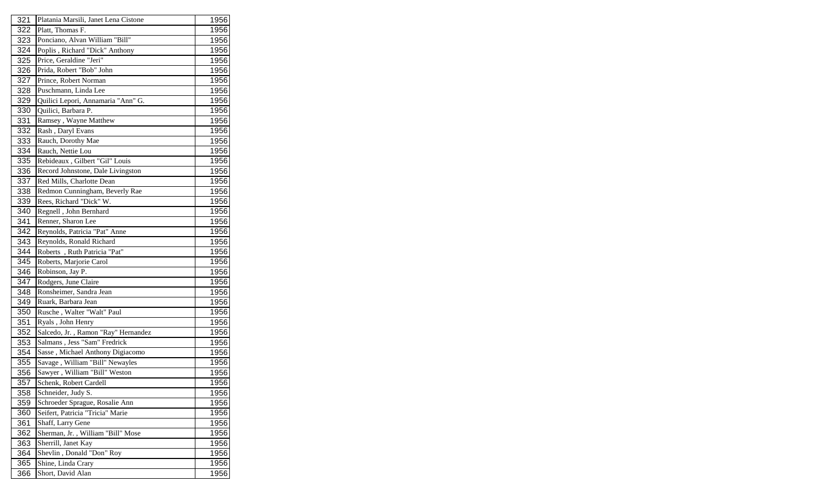| 321 | Platania Marsili, Janet Lena Cistone               | 1956 |
|-----|----------------------------------------------------|------|
| 322 | Platt, Thomas F.<br>Ponciano, Alvan William "Bill" | 1956 |
| 323 |                                                    | 1956 |
| 324 | Poplis, Richard "Dick" Anthony                     | 1956 |
| 325 | Price, Geraldine "Jeri"                            | 1956 |
| 326 | Prida, Robert "Bob" John                           | 1956 |
| 327 | Prince, Robert Norman                              | 1956 |
| 328 | Puschmann, Linda Lee                               | 1956 |
| 329 | Quilici Lepori, Annamaria "Ann" G.                 | 1956 |
| 330 | Quilici, Barbara P.                                | 1956 |
| 331 | Ramsey, Wayne Matthew                              | 1956 |
| 332 | Rash, Daryl Evans                                  | 1956 |
| 333 | Rauch, Dorothy Mae                                 | 1956 |
| 334 | Rauch, Nettie Lou                                  | 1956 |
| 335 | Rebideaux, Gilbert "Gil" Louis                     | 1956 |
| 336 | Record Johnstone, Dale Livingston                  | 1956 |
| 337 | Red Mills, Charlotte Dean                          | 1956 |
| 338 | Redmon Cunningham, Beverly Rae                     | 1956 |
| 339 | Rees, Richard "Dick" W.                            | 1956 |
| 340 | Regnell, John Bernhard                             | 1956 |
| 341 | Renner, Sharon Lee                                 | 1956 |
| 342 | Reynolds, Patricia "Pat" Anne                      | 1956 |
| 343 | Reynolds, Ronald Richard                           | 1956 |
| 344 | Roberts, Ruth Patricia "Pat"                       | 1956 |
| 345 | Roberts, Marjorie Carol                            | 1956 |
| 346 | Robinson, Jay P.                                   | 1956 |
| 347 | Rodgers, June Claire                               | 1956 |
| 348 | Ronsheimer, Sandra Jean                            | 1956 |
| 349 | Ruark, Barbara Jean                                | 1956 |
| 350 | Rusche, Walter "Walt" Paul                         | 1956 |
| 351 | Ryals, John Henry                                  | 1956 |
| 352 | Salcedo, Jr., Ramon "Ray" Hernandez                | 1956 |
| 353 | Salmans, Jess "Sam" Fredrick                       | 1956 |
| 354 | Sasse, Michael Anthony Digiacomo                   | 1956 |
| 355 | Savage, William "Bill" Newayles                    | 1956 |
| 356 | Sawyer, William "Bill" Weston                      | 1956 |
| 357 | Schenk, Robert Cardell                             | 1956 |
| 358 | Schneider, Judy S.                                 | 1956 |
| 359 | Schroeder Sprague, Rosalie Ann                     | 1956 |
| 360 | Seifert, Patricia "Tricia" Marie                   | 1956 |
| 361 | Shaff, Larry Gene                                  | 1956 |
| 362 | Sherman, Jr., William "Bill" Mose                  | 1956 |
| 363 | Sherrill, Janet Kay                                | 1956 |
| 364 | Shevlin, Donald "Don" Roy                          | 1956 |
| 365 | Shine, Linda Crary                                 | 1956 |
| 366 | Short, David Alan                                  | 1956 |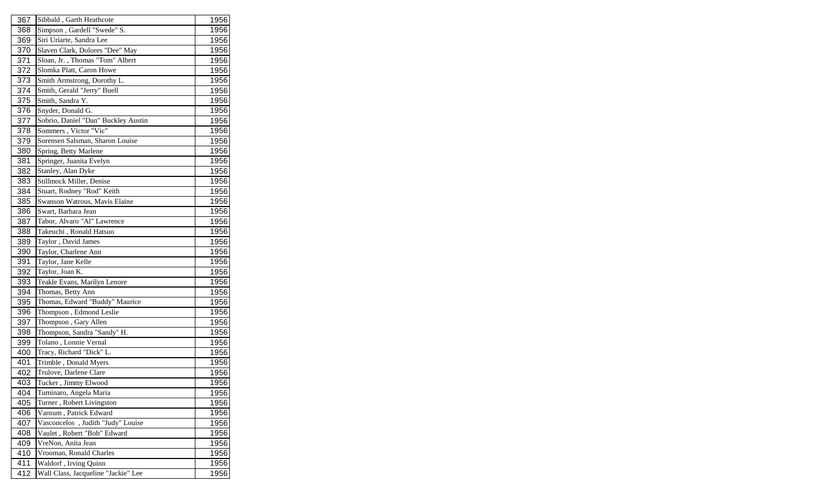| 367 | Sibbald, Garth Heathcote            | 1956 |
|-----|-------------------------------------|------|
| 368 | Simpson, Gardell "Swede" S.         | 1956 |
| 369 | Siri Uriarte, Sandra Lee            | 1956 |
| 370 | Slaven Clark, Dolores "Dee" May     | 1956 |
| 371 | Sloan, Jr., Thomas "Tom" Albert     | 1956 |
| 372 | Slomka Platt, Caron Howe            | 1956 |
| 373 | Smith Armstrong, Dorothy L.         | 1956 |
| 374 | Smith, Gerald "Jerry" Buell         | 1956 |
| 375 | Smith, Sandra Y.                    | 1956 |
| 376 | Snyder, Donald G.                   | 1956 |
| 377 | Sobrio, Daniel "Dan" Buckley Austin | 1956 |
| 378 | Sommers, Victor "Vic"               | 1956 |
| 379 | Sorensen Salsman, Sharon Louise     | 1956 |
| 380 | Spring, Betty Marlene               | 1956 |
| 381 | Springer, Juanita Evelyn            | 1956 |
| 382 | Stanley, Alan Dyke                  | 1956 |
| 383 | Stillmock Miller, Denise            | 1956 |
| 384 | Stuart, Rodney "Rod" Keith          | 1956 |
| 385 | Swanson Watrous, Mavis Elaine       | 1956 |
| 386 | Swart, Barbara Jean                 | 1956 |
| 387 | Tabor, Alvaro "Al" Lawrence         | 1956 |
| 388 | Takeuchi, Ronald Hatsuo             | 1956 |
| 389 | Taylor, David James                 | 1956 |
| 390 | Taylor, Charlene Ann                | 1956 |
| 391 | Taylor, Jane Kelle                  | 1956 |
| 392 | Taylor, Joan K.                     | 1956 |
| 393 | Teakle Evans, Marilyn Lenore        | 1956 |
| 394 | Thomas, Betty Ann                   | 1956 |
| 395 | Thomas, Edward "Buddy" Maurice      | 1956 |
| 396 | Thompson, Edmond Leslie             | 1956 |
| 397 | Thompson, Gary Allen                | 1956 |
| 398 | Thompson, Sandra "Sandy" H.         | 1956 |
| 399 | Tolano, Lonnie Vernal               | 1956 |
| 400 | Tracy, Richard "Dick" L.            | 1956 |
| 401 | Trimble, Donald Myers               | 1956 |
| 402 | Trulove, Darlene Clare              | 1956 |
| 403 | Tucker, Jimmy Elwood                | 1956 |
| 404 | Tuminaro, Angela Maria              | 1956 |
| 405 | Turner, Robert Livingston           | 1956 |
| 406 | Varnum, Patrick Edward              | 1956 |
| 407 | Vasconcelos, Judith "Judy" Louise   | 1956 |
| 408 | Vaulet, Robert "Bob" Edward         | 1956 |
| 409 | VreNon, Anita Jean                  | 1956 |
| 410 | Vrooman, Ronald Charles             | 1956 |
| 411 | Waldorf, Irving Quinn               | 1956 |
| 412 | Wall Class, Jacqueline "Jackie" Lee | 1956 |